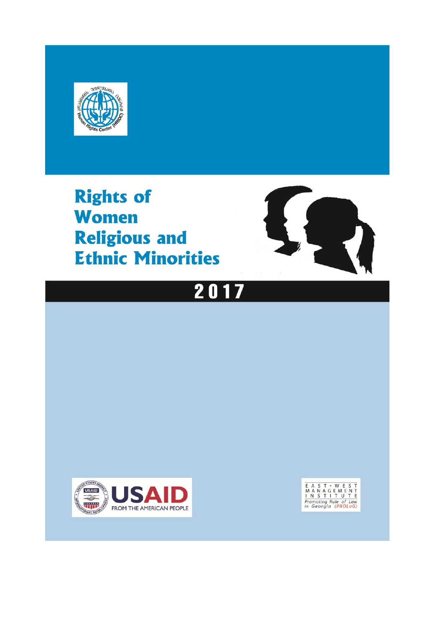

**Rights of Women Religious and Ethnic Minorities** 







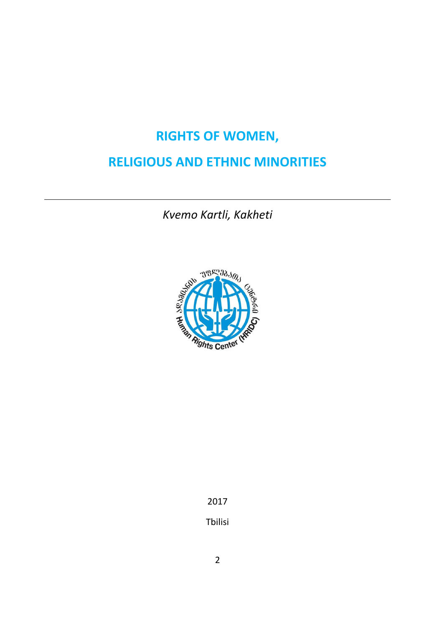# **RIGHTS OF WOMEN,**

# **RELIGIOUS AND ETHNIC MINORITIES**

*Kvemo Kartli, Kakheti*



2017 Tbilisi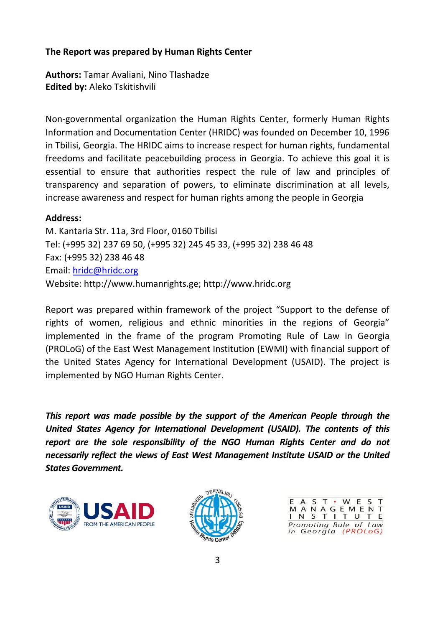#### **The Report was prepared by Human Rights Center**

**Authors:** Tamar Avaliani, Nino Tlashadze **Edited by:** Aleko Tskitishvili

Non-governmental organization the Human Rights Center, formerly Human Rights Information and Documentation Center (HRIDC) was founded on December 10, 1996 in Tbilisi, Georgia. The HRIDC aims to increase respect for human rights, fundamental freedoms and facilitate peacebuilding process in Georgia. To achieve this goal it is essential to ensure that authorities respect the rule of law and principles of transparency and separation of powers, to eliminate discrimination at all levels, increase awareness and respect for human rights among the people in Georgia

#### **Address:**

M. Kantaria Str. 11a, 3rd Floor, 0160 Tbilisi Tel: (+995 32) 237 69 50, (+995 32) 245 45 33, (+995 32) 238 46 48 Fax: (+995 32) 238 46 48 Email: [hridc@hridc.org](mailto:hridc@hridc.org) Website: http://www.humanrights.ge; http://www.hridc.org

Report was prepared within framework of the project "Support to the defense of rights of women, religious and ethnic minorities in the regions of Georgia" implemented in the frame of the program Promoting Rule of Law in Georgia (PROLoG) of the East West Management Institution (EWMI) with financial support of the United States Agency for International Development (USAID). The project is implemented by NGO Human Rights Center.

*This report was made possible by the support of the American People through the United States Agency for International Development (USAID). The contents of this report are the sole responsibility of the NGO Human Rights Center and do not necessarily reflect the views of East West Management Institute USAID or the United States Government.*





MANAGEME T S Promoting Rule of Law in Georgia (PROLoG)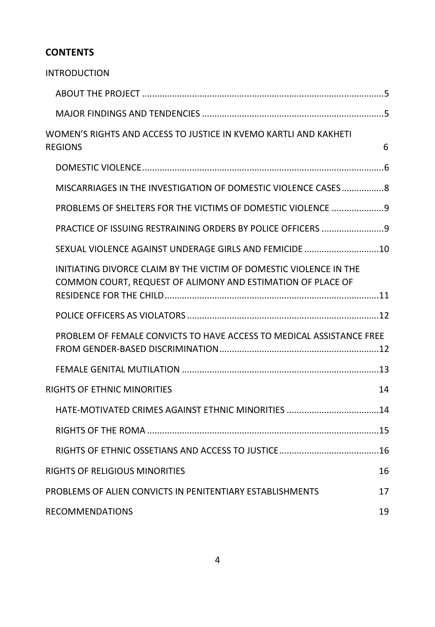## **CONTENTS**

| <b>INTRODUCTION</b>                                                                                                               |    |
|-----------------------------------------------------------------------------------------------------------------------------------|----|
|                                                                                                                                   |    |
|                                                                                                                                   |    |
| WOMEN'S RIGHTS AND ACCESS TO JUSTICE IN KVEMO KARTLI AND KAKHETI<br><b>REGIONS</b>                                                | 6  |
|                                                                                                                                   |    |
| MISCARRIAGES IN THE INVESTIGATION OF DOMESTIC VIOLENCE CASES8                                                                     |    |
| PROBLEMS OF SHELTERS FOR THE VICTIMS OF DOMESTIC VIOLENCE 9                                                                       |    |
| PRACTICE OF ISSUING RESTRAINING ORDERS BY POLICE OFFICERS  9                                                                      |    |
| SEXUAL VIOLENCE AGAINST UNDERAGE GIRLS AND FEMICIDE 10                                                                            |    |
| INITIATING DIVORCE CLAIM BY THE VICTIM OF DOMESTIC VIOLENCE IN THE<br>COMMON COURT, REQUEST OF ALIMONY AND ESTIMATION OF PLACE OF |    |
| POLICE OFFICERS AS VIOLATORS ………………………………………………………………………12                                                                        |    |
| PROBLEM OF FEMALE CONVICTS TO HAVE ACCESS TO MEDICAL ASSISTANCE FREE                                                              |    |
|                                                                                                                                   |    |
| RIGHTS OF ETHNIC MINORITIES                                                                                                       | 14 |
|                                                                                                                                   |    |
|                                                                                                                                   |    |
|                                                                                                                                   |    |
| RIGHTS OF RELIGIOUS MINORITIES                                                                                                    | 16 |
| PROBLEMS OF ALIEN CONVICTS IN PENITENTIARY ESTABLISHMENTS                                                                         | 17 |
| <b>RECOMMENDATIONS</b>                                                                                                            | 19 |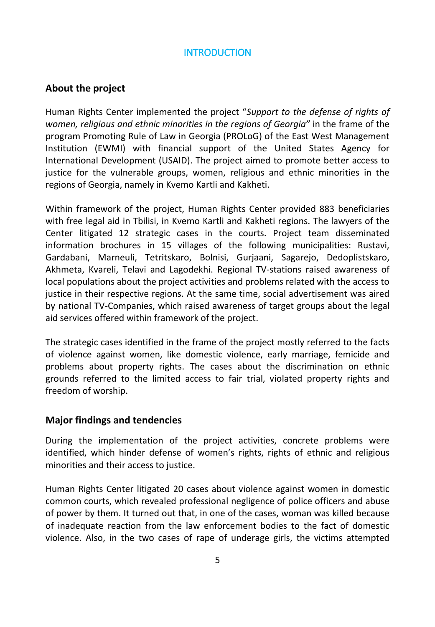## **INTRODUCTION**

## <span id="page-4-1"></span><span id="page-4-0"></span>**About the project**

Human Rights Center implemented the project "*Support to the defense of rights of women, religious and ethnic minorities in the regions of Georgia"* in the frame of the program Promoting Rule of Law in Georgia (PROLoG) of the East West Management Institution (EWMI) with financial support of the United States Agency for International Development (USAID). The project aimed to promote better access to justice for the vulnerable groups, women, religious and ethnic minorities in the regions of Georgia, namely in Kvemo Kartli and Kakheti.

Within framework of the project, Human Rights Center provided 883 beneficiaries with free legal aid in Tbilisi, in Kvemo Kartli and Kakheti regions. The lawyers of the Center litigated 12 strategic cases in the courts. Project team disseminated information brochures in 15 villages of the following municipalities: Rustavi, Gardabani, Marneuli, Tetritskaro, Bolnisi, Gurjaani, Sagarejo, Dedoplistskaro, Akhmeta, Kvareli, Telavi and Lagodekhi. Regional TV-stations raised awareness of local populations about the project activities and problems related with the access to justice in their respective regions. At the same time, social advertisement was aired by national TV-Companies, which raised awareness of target groups about the legal aid services offered within framework of the project.

The strategic cases identified in the frame of the project mostly referred to the facts of violence against women, like domestic violence, early marriage, femicide and problems about property rights. The cases about the discrimination on ethnic grounds referred to the limited access to fair trial, violated property rights and freedom of worship.

#### <span id="page-4-2"></span>**Major findings and tendencies**

During the implementation of the project activities, concrete problems were identified, which hinder defense of women's rights, rights of ethnic and religious minorities and their access to justice.

Human Rights Center litigated 20 cases about violence against women in domestic common courts, which revealed professional negligence of police officers and abuse of power by them. It turned out that, in one of the cases, woman was killed because of inadequate reaction from the law enforcement bodies to the fact of domestic violence. Also, in the two cases of rape of underage girls, the victims attempted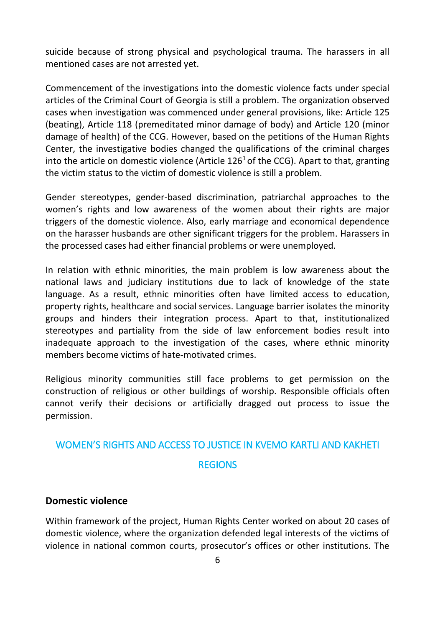suicide because of strong physical and psychological trauma. The harassers in all mentioned cases are not arrested yet.

Commencement of the investigations into the domestic violence facts under special articles of the Criminal Court of Georgia is still a problem. The organization observed cases when investigation was commenced under general provisions, like: Article 125 (beating), Article 118 (premeditated minor damage of body) and Article 120 (minor damage of health) of the CCG. However, based on the petitions of the Human Rights Center, the investigative bodies changed the qualifications of the criminal charges into the article on domestic violence (Article  $126<sup>1</sup>$  of the CCG). Apart to that, granting the victim status to the victim of domestic violence is still a problem.

Gender stereotypes, gender-based discrimination, patriarchal approaches to the women's rights and low awareness of the women about their rights are major triggers of the domestic violence. Also, early marriage and economical dependence on the harasser husbands are other significant triggers for the problem. Harassers in the processed cases had either financial problems or were unemployed.

In relation with ethnic minorities, the main problem is low awareness about the national laws and judiciary institutions due to lack of knowledge of the state language. As a result, ethnic minorities often have limited access to education, property rights, healthcare and social services. Language barrier isolates the minority groups and hinders their integration process. Apart to that, institutionalized stereotypes and partiality from the side of law enforcement bodies result into inadequate approach to the investigation of the cases, where ethnic minority members become victims of hate-motivated crimes.

Religious minority communities still face problems to get permission on the construction of religious or other buildings of worship. Responsible officials often cannot verify their decisions or artificially dragged out process to issue the permission.

# <span id="page-5-0"></span>WOMEN'S RIGHTS AND ACCESS TO JUSTICE IN KVEMO KARTLI AND KAKHETI **REGIONS**

#### <span id="page-5-1"></span>**Domestic violence**

Within framework of the project, Human Rights Center worked on about 20 cases of domestic violence, where the organization defended legal interests of the victims of violence in national common courts, prosecutor's offices or other institutions. The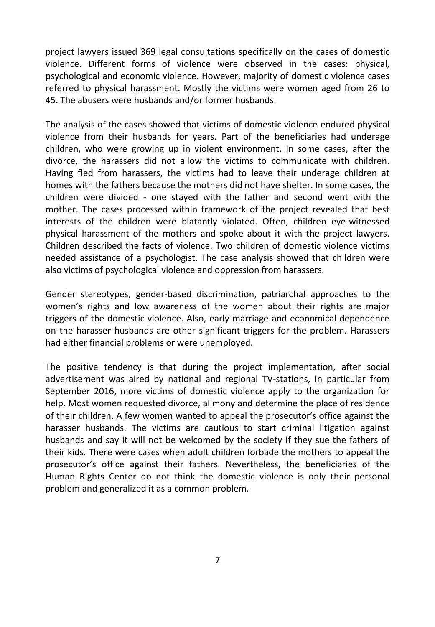project lawyers issued 369 legal consultations specifically on the cases of domestic violence. Different forms of violence were observed in the cases: physical, psychological and economic violence. However, majority of domestic violence cases referred to physical harassment. Mostly the victims were women aged from 26 to 45. The abusers were husbands and/or former husbands.

The analysis of the cases showed that victims of domestic violence endured physical violence from their husbands for years. Part of the beneficiaries had underage children, who were growing up in violent environment. In some cases, after the divorce, the harassers did not allow the victims to communicate with children. Having fled from harassers, the victims had to leave their underage children at homes with the fathers because the mothers did not have shelter. In some cases, the children were divided - one stayed with the father and second went with the mother. The cases processed within framework of the project revealed that best interests of the children were blatantly violated. Often, children eye-witnessed physical harassment of the mothers and spoke about it with the project lawyers. Children described the facts of violence. Two children of domestic violence victims needed assistance of a psychologist. The case analysis showed that children were also victims of psychological violence and oppression from harassers.

Gender stereotypes, gender-based discrimination, patriarchal approaches to the women's rights and low awareness of the women about their rights are major triggers of the domestic violence. Also, early marriage and economical dependence on the harasser husbands are other significant triggers for the problem. Harassers had either financial problems or were unemployed.

The positive tendency is that during the project implementation, after social advertisement was aired by national and regional TV-stations, in particular from September 2016, more victims of domestic violence apply to the organization for help. Most women requested divorce, alimony and determine the place of residence of their children. A few women wanted to appeal the prosecutor's office against the harasser husbands. The victims are cautious to start criminal litigation against husbands and say it will not be welcomed by the society if they sue the fathers of their kids. There were cases when adult children forbade the mothers to appeal the prosecutor's office against their fathers. Nevertheless, the beneficiaries of the Human Rights Center do not think the domestic violence is only their personal problem and generalized it as a common problem.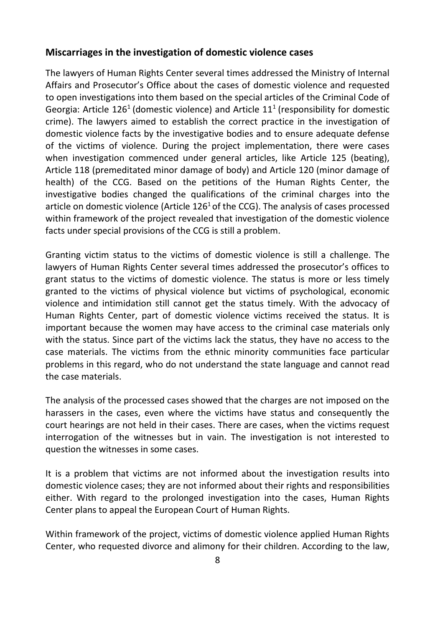#### <span id="page-7-0"></span>**Miscarriages in the investigation of domestic violence cases**

The lawyers of Human Rights Center several times addressed the Ministry of Internal Affairs and Prosecutor's Office about the cases of domestic violence and requested to open investigations into them based on the special articles of the Criminal Code of Georgia: Article  $126<sup>1</sup>$  (domestic violence) and Article  $11<sup>1</sup>$  (responsibility for domestic crime). The lawyers aimed to establish the correct practice in the investigation of domestic violence facts by the investigative bodies and to ensure adequate defense of the victims of violence. During the project implementation, there were cases when investigation commenced under general articles, like Article 125 (beating), Article 118 (premeditated minor damage of body) and Article 120 (minor damage of health) of the CCG. Based on the petitions of the Human Rights Center, the investigative bodies changed the qualifications of the criminal charges into the article on domestic violence (Article  $126<sup>1</sup>$  of the CCG). The analysis of cases processed within framework of the project revealed that investigation of the domestic violence facts under special provisions of the CCG is still a problem.

Granting victim status to the victims of domestic violence is still a challenge. The lawyers of Human Rights Center several times addressed the prosecutor's offices to grant status to the victims of domestic violence. The status is more or less timely granted to the victims of physical violence but victims of psychological, economic violence and intimidation still cannot get the status timely. With the advocacy of Human Rights Center, part of domestic violence victims received the status. It is important because the women may have access to the criminal case materials only with the status. Since part of the victims lack the status, they have no access to the case materials. The victims from the ethnic minority communities face particular problems in this regard, who do not understand the state language and cannot read the case materials.

The analysis of the processed cases showed that the charges are not imposed on the harassers in the cases, even where the victims have status and consequently the court hearings are not held in their cases. There are cases, when the victims request interrogation of the witnesses but in vain. The investigation is not interested to question the witnesses in some cases.

It is a problem that victims are not informed about the investigation results into domestic violence cases; they are not informed about their rights and responsibilities either. With regard to the prolonged investigation into the cases, Human Rights Center plans to appeal the European Court of Human Rights.

Within framework of the project, victims of domestic violence applied Human Rights Center, who requested divorce and alimony for their children. According to the law,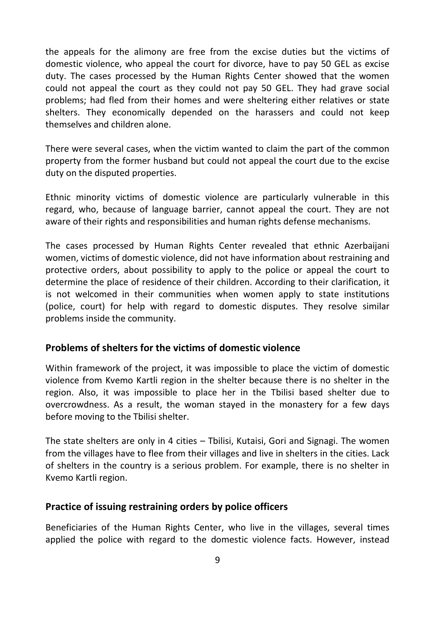the appeals for the alimony are free from the excise duties but the victims of domestic violence, who appeal the court for divorce, have to pay 50 GEL as excise duty. The cases processed by the Human Rights Center showed that the women could not appeal the court as they could not pay 50 GEL. They had grave social problems; had fled from their homes and were sheltering either relatives or state shelters. They economically depended on the harassers and could not keep themselves and children alone.

There were several cases, when the victim wanted to claim the part of the common property from the former husband but could not appeal the court due to the excise duty on the disputed properties.

Ethnic minority victims of domestic violence are particularly vulnerable in this regard, who, because of language barrier, cannot appeal the court. They are not aware of their rights and responsibilities and human rights defense mechanisms.

The cases processed by Human Rights Center revealed that ethnic Azerbaijani women, victims of domestic violence, did not have information about restraining and protective orders, about possibility to apply to the police or appeal the court to determine the place of residence of their children. According to their clarification, it is not welcomed in their communities when women apply to state institutions (police, court) for help with regard to domestic disputes. They resolve similar problems inside the community.

#### <span id="page-8-0"></span>**Problems of shelters for the victims of domestic violence**

Within framework of the project, it was impossible to place the victim of domestic violence from Kvemo Kartli region in the shelter because there is no shelter in the region. Also, it was impossible to place her in the Tbilisi based shelter due to overcrowdness. As a result, the woman stayed in the monastery for a few days before moving to the Tbilisi shelter.

The state shelters are only in 4 cities – Tbilisi, Kutaisi, Gori and Signagi. The women from the villages have to flee from their villages and live in shelters in the cities. Lack of shelters in the country is a serious problem. For example, there is no shelter in Kvemo Kartli region.

#### <span id="page-8-1"></span>**Practice of issuing restraining orders by police officers**

Beneficiaries of the Human Rights Center, who live in the villages, several times applied the police with regard to the domestic violence facts. However, instead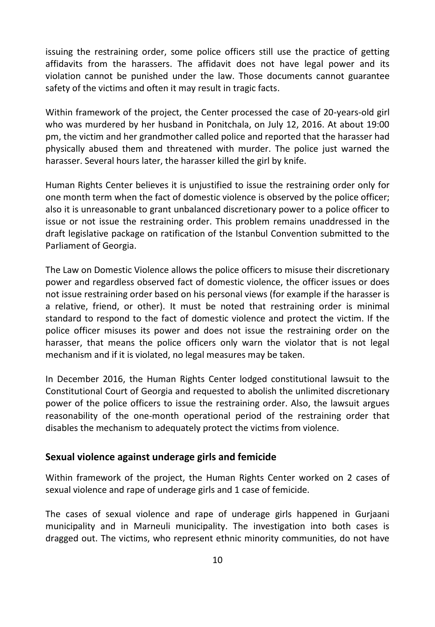issuing the restraining order, some police officers still use the practice of getting affidavits from the harassers. The affidavit does not have legal power and its violation cannot be punished under the law. Those documents cannot guarantee safety of the victims and often it may result in tragic facts.

Within framework of the project, the Center processed the case of 20-years-old girl who was murdered by her husband in Ponitchala, on July 12, 2016. At about 19:00 pm, the victim and her grandmother called police and reported that the harasser had physically abused them and threatened with murder. The police just warned the harasser. Several hours later, the harasser killed the girl by knife.

Human Rights Center believes it is unjustified to issue the restraining order only for one month term when the fact of domestic violence is observed by the police officer; also it is unreasonable to grant unbalanced discretionary power to a police officer to issue or not issue the restraining order. This problem remains unaddressed in the draft legislative package on ratification of the Istanbul Convention submitted to the Parliament of Georgia.

The Law on Domestic Violence allows the police officers to misuse their discretionary power and regardless observed fact of domestic violence, the officer issues or does not issue restraining order based on his personal views (for example if the harasser is a relative, friend, or other). It must be noted that restraining order is minimal standard to respond to the fact of domestic violence and protect the victim. If the police officer misuses its power and does not issue the restraining order on the harasser, that means the police officers only warn the violator that is not legal mechanism and if it is violated, no legal measures may be taken.

In December 2016, the Human Rights Center lodged constitutional lawsuit to the Constitutional Court of Georgia and requested to abolish the unlimited discretionary power of the police officers to issue the restraining order. Also, the lawsuit argues reasonability of the one-month operational period of the restraining order that disables the mechanism to adequately protect the victims from violence.

#### <span id="page-9-0"></span>**Sexual violence against underage girls and femicide**

Within framework of the project, the Human Rights Center worked on 2 cases of sexual violence and rape of underage girls and 1 case of femicide.

The cases of sexual violence and rape of underage girls happened in Gurjaani municipality and in Marneuli municipality. The investigation into both cases is dragged out. The victims, who represent ethnic minority communities, do not have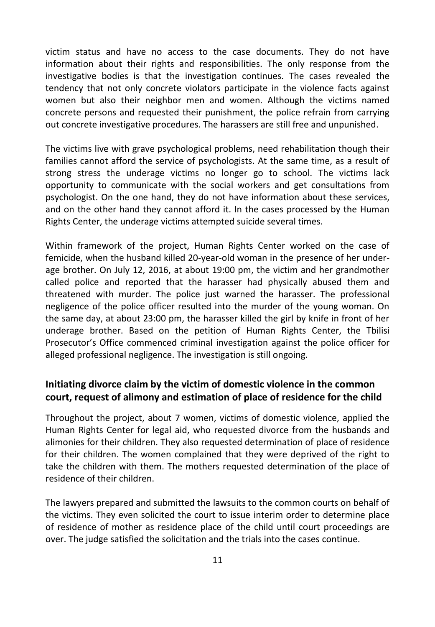victim status and have no access to the case documents. They do not have information about their rights and responsibilities. The only response from the investigative bodies is that the investigation continues. The cases revealed the tendency that not only concrete violators participate in the violence facts against women but also their neighbor men and women. Although the victims named concrete persons and requested their punishment, the police refrain from carrying out concrete investigative procedures. The harassers are still free and unpunished.

The victims live with grave psychological problems, need rehabilitation though their families cannot afford the service of psychologists. At the same time, as a result of strong stress the underage victims no longer go to school. The victims lack opportunity to communicate with the social workers and get consultations from psychologist. On the one hand, they do not have information about these services, and on the other hand they cannot afford it. In the cases processed by the Human Rights Center, the underage victims attempted suicide several times.

Within framework of the project, Human Rights Center worked on the case of femicide, when the husband killed 20-year-old woman in the presence of her underage brother. On July 12, 2016, at about 19:00 pm, the victim and her grandmother called police and reported that the harasser had physically abused them and threatened with murder. The police just warned the harasser. The professional negligence of the police officer resulted into the murder of the young woman. On the same day, at about 23:00 pm, the harasser killed the girl by knife in front of her underage brother. Based on the petition of Human Rights Center, the Tbilisi Prosecutor's Office commenced criminal investigation against the police officer for alleged professional negligence. The investigation is still ongoing.

## <span id="page-10-0"></span>**Initiating divorce claim by the victim of domestic violence in the common court, request of alimony and estimation of place of residence for the child**

Throughout the project, about 7 women, victims of domestic violence, applied the Human Rights Center for legal aid, who requested divorce from the husbands and alimonies for their children. They also requested determination of place of residence for their children. The women complained that they were deprived of the right to take the children with them. The mothers requested determination of the place of residence of their children.

The lawyers prepared and submitted the lawsuits to the common courts on behalf of the victims. They even solicited the court to issue interim order to determine place of residence of mother as residence place of the child until court proceedings are over. The judge satisfied the solicitation and the trials into the cases continue.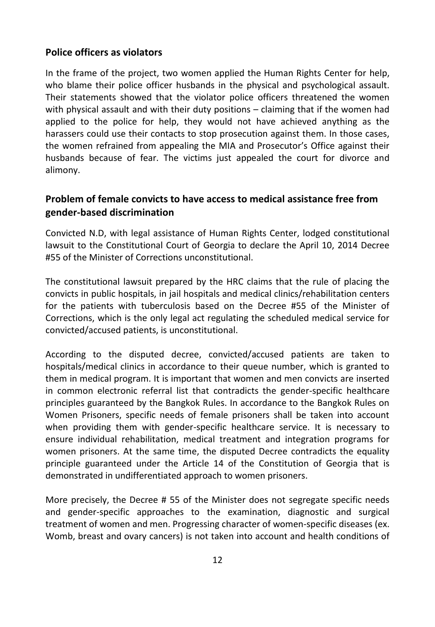#### <span id="page-11-0"></span>**Police officers as violators**

In the frame of the project, two women applied the Human Rights Center for help, who blame their police officer husbands in the physical and psychological assault. Their statements showed that the violator police officers threatened the women with physical assault and with their duty positions – claiming that if the women had applied to the police for help, they would not have achieved anything as the harassers could use their contacts to stop prosecution against them. In those cases, the women refrained from appealing the MIA and Prosecutor's Office against their husbands because of fear. The victims just appealed the court for divorce and alimony.

## <span id="page-11-1"></span>**Problem of female convicts to have access to medical assistance free from gender-based discrimination**

Convicted N.D, with legal assistance of Human Rights Center, lodged constitutional lawsuit to the Constitutional Court of Georgia to declare the April 10, 2014 Decree #55 of the Minister of Corrections unconstitutional.

The constitutional lawsuit prepared by the HRC claims that the rule of placing the convicts in public hospitals, in jail hospitals and medical clinics/rehabilitation centers for the patients with tuberculosis based on the Decree #55 of the Minister of Corrections, which is the only legal act regulating the scheduled medical service for convicted/accused patients, is unconstitutional.

According to the disputed decree, convicted/accused patients are taken to hospitals/medical clinics in accordance to their queue number, which is granted to them in medical program. It is important that women and men convicts are inserted in common electronic referral list that contradicts the gender-specific healthcare principles guaranteed by the Bangkok Rules. In accordance to the Bangkok Rules on Women Prisoners, specific needs of female prisoners shall be taken into account when providing them with gender-specific healthcare service. It is necessary to ensure individual rehabilitation, medical treatment and integration programs for women prisoners. At the same time, the disputed Decree contradicts the equality principle guaranteed under the Article 14 of the Constitution of Georgia that is demonstrated in undifferentiated approach to women prisoners.

More precisely, the Decree # 55 of the Minister does not segregate specific needs and gender-specific approaches to the examination, diagnostic and surgical treatment of women and men. Progressing character of women-specific diseases (ex. Womb, breast and ovary cancers) is not taken into account and health conditions of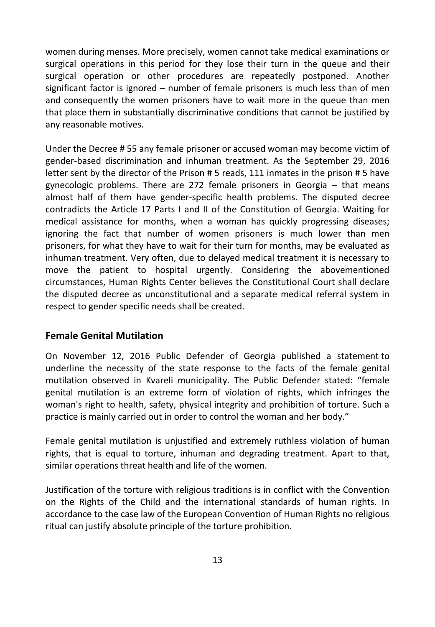women during menses. More precisely, women cannot take medical examinations or surgical operations in this period for they lose their turn in the queue and their surgical operation or other procedures are repeatedly postponed. Another significant factor is ignored – number of female prisoners is much less than of men and consequently the women prisoners have to wait more in the queue than men that place them in substantially discriminative conditions that cannot be justified by any reasonable motives.

Under the Decree # 55 any female prisoner or accused woman may become victim of gender-based discrimination and inhuman treatment. As the September 29, 2016 letter sent by the director of the Prison # 5 reads, 111 inmates in the prison # 5 have gynecologic problems. There are 272 female prisoners in Georgia – that means almost half of them have gender-specific health problems. The disputed decree contradicts the Article 17 Parts I and II of the Constitution of Georgia. Waiting for medical assistance for months, when a woman has quickly progressing diseases; ignoring the fact that number of women prisoners is much lower than men prisoners, for what they have to wait for their turn for months, may be evaluated as inhuman treatment. Very often, due to delayed medical treatment it is necessary to move the patient to hospital urgently. Considering the abovementioned circumstances, Human Rights Center believes the Constitutional Court shall declare the disputed decree as unconstitutional and a separate medical referral system in respect to gender specific needs shall be created.

#### <span id="page-12-0"></span>**Female Genital Mutilation**

On November 12, 2016 Public Defender of Georgia published a statement to underline the necessity of the state response to the facts of the female genital mutilation observed in Kvareli municipality. The Public Defender stated: "female genital mutilation is an extreme form of violation of rights, which infringes the woman's right to health, safety, physical integrity and prohibition of torture. Such a practice is mainly carried out in order to control the woman and her body."

Female genital mutilation is unjustified and extremely ruthless violation of human rights, that is equal to torture, inhuman and degrading treatment. Apart to that, similar operations threat health and life of the women.

Justification of the torture with religious traditions is in conflict with the Convention on the Rights of the Child and the international standards of human rights. In accordance to the case law of the European Convention of Human Rights no religious ritual can justify absolute principle of the torture prohibition.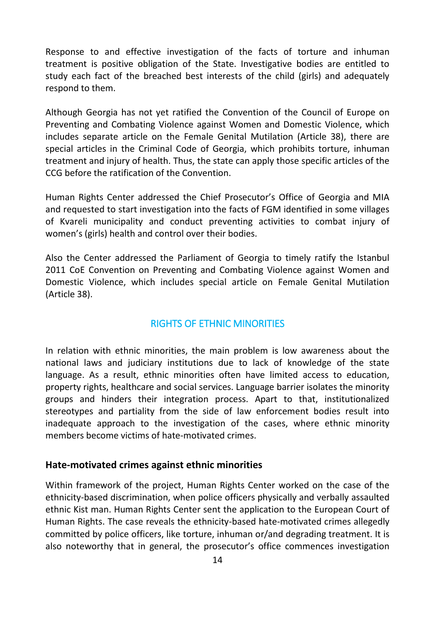Response to and effective investigation of the facts of torture and inhuman treatment is positive obligation of the State. Investigative bodies are entitled to study each fact of the breached best interests of the child (girls) and adequately respond to them.

Although Georgia has not yet ratified the Convention of the Council of Europe on Preventing and Combating Violence against Women and Domestic Violence, which includes separate article on the Female Genital Mutilation (Article 38), there are special articles in the Criminal Code of Georgia, which prohibits torture, inhuman treatment and injury of health. Thus, the state can apply those specific articles of the CCG before the ratification of the Convention.

Human Rights Center addressed the Chief Prosecutor's Office of Georgia and MIA and requested to start investigation into the facts of FGM identified in some villages of Kvareli municipality and conduct preventing activities to combat injury of women's (girls) health and control over their bodies.

Also the Center addressed the Parliament of Georgia to timely ratify the Istanbul 2011 CoE Convention on Preventing and Combating Violence against Women and Domestic Violence, which includes special article on Female Genital Mutilation (Article 38).

## RIGHTS OF ETHNIC MINORITIES

<span id="page-13-0"></span>In relation with ethnic minorities, the main problem is low awareness about the national laws and judiciary institutions due to lack of knowledge of the state language. As a result, ethnic minorities often have limited access to education, property rights, healthcare and social services. Language barrier isolates the minority groups and hinders their integration process. Apart to that, institutionalized stereotypes and partiality from the side of law enforcement bodies result into inadequate approach to the investigation of the cases, where ethnic minority members become victims of hate-motivated crimes.

#### <span id="page-13-1"></span>**Hate-motivated crimes against ethnic minorities**

Within framework of the project, Human Rights Center worked on the case of the ethnicity-based discrimination, when police officers physically and verbally assaulted ethnic Kist man. Human Rights Center sent the application to the European Court of Human Rights. The case reveals the ethnicity-based hate-motivated crimes allegedly committed by police officers, like torture, inhuman or/and degrading treatment. It is also noteworthy that in general, the prosecutor's office commences investigation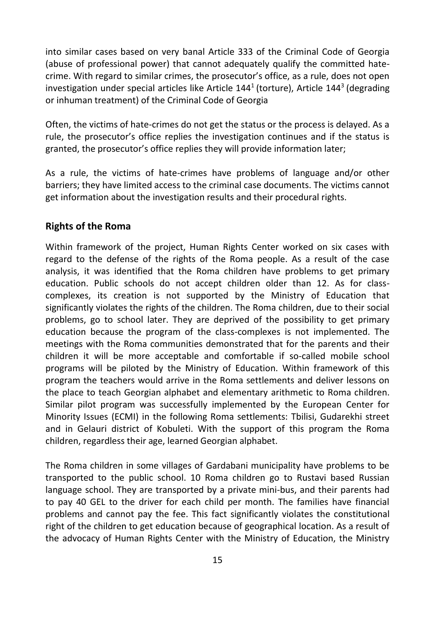into similar cases based on very banal Article 333 of the Criminal Code of Georgia (abuse of professional power) that cannot adequately qualify the committed hatecrime. With regard to similar crimes, the prosecutor's office, as a rule, does not open investigation under special articles like Article  $144<sup>1</sup>$  (torture), Article  $144<sup>3</sup>$  (degrading or inhuman treatment) of the Criminal Code of Georgia

Often, the victims of hate-crimes do not get the status or the process is delayed. As a rule, the prosecutor's office replies the investigation continues and if the status is granted, the prosecutor's office replies they will provide information later;

As a rule, the victims of hate-crimes have problems of language and/or other barriers; they have limited access to the criminal case documents. The victims cannot get information about the investigation results and their procedural rights.

#### <span id="page-14-0"></span>**Rights of the Roma**

Within framework of the project, Human Rights Center worked on six cases with regard to the defense of the rights of the Roma people. As a result of the case analysis, it was identified that the Roma children have problems to get primary education. Public schools do not accept children older than 12. As for classcomplexes, its creation is not supported by the Ministry of Education that significantly violates the rights of the children. The Roma children, due to their social problems, go to school later. They are deprived of the possibility to get primary education because the program of the class-complexes is not implemented. The meetings with the Roma communities demonstrated that for the parents and their children it will be more acceptable and comfortable if so-called mobile school programs will be piloted by the Ministry of Education. Within framework of this program the teachers would arrive in the Roma settlements and deliver lessons on the place to teach Georgian alphabet and elementary arithmetic to Roma children. Similar pilot program was successfully implemented by the European Center for Minority Issues (ECMI) in the following Roma settlements: Tbilisi, Gudarekhi street and in Gelauri district of Kobuleti. With the support of this program the Roma children, regardless their age, learned Georgian alphabet.

The Roma children in some villages of Gardabani municipality have problems to be transported to the public school. 10 Roma children go to Rustavi based Russian language school. They are transported by a private mini-bus, and their parents had to pay 40 GEL to the driver for each child per month. The families have financial problems and cannot pay the fee. This fact significantly violates the constitutional right of the children to get education because of geographical location. As a result of the advocacy of Human Rights Center with the Ministry of Education, the Ministry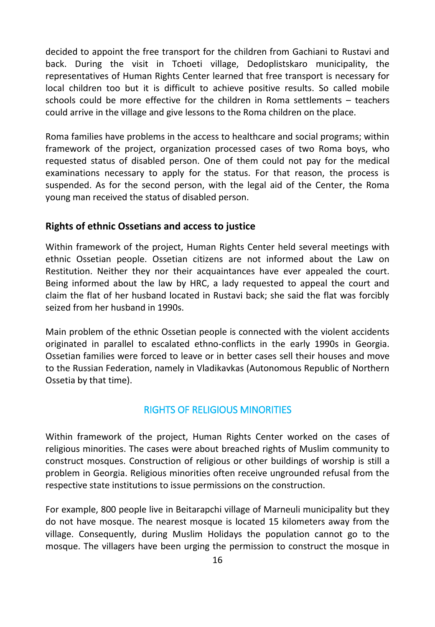decided to appoint the free transport for the children from Gachiani to Rustavi and back. During the visit in Tchoeti village, Dedoplistskaro municipality, the representatives of Human Rights Center learned that free transport is necessary for local children too but it is difficult to achieve positive results. So called mobile schools could be more effective for the children in Roma settlements – teachers could arrive in the village and give lessons to the Roma children on the place.

Roma families have problems in the access to healthcare and social programs; within framework of the project, organization processed cases of two Roma boys, who requested status of disabled person. One of them could not pay for the medical examinations necessary to apply for the status. For that reason, the process is suspended. As for the second person, with the legal aid of the Center, the Roma young man received the status of disabled person.

#### <span id="page-15-0"></span>**Rights of ethnic Ossetians and access to justice**

Within framework of the project, Human Rights Center held several meetings with ethnic Ossetian people. Ossetian citizens are not informed about the Law on Restitution. Neither they nor their acquaintances have ever appealed the court. Being informed about the law by HRC, a lady requested to appeal the court and claim the flat of her husband located in Rustavi back; she said the flat was forcibly seized from her husband in 1990s.

Main problem of the ethnic Ossetian people is connected with the violent accidents originated in parallel to escalated ethno-conflicts in the early 1990s in Georgia. Ossetian families were forced to leave or in better cases sell their houses and move to the Russian Federation, namely in Vladikavkas (Autonomous Republic of Northern Ossetia by that time).

#### RIGHTS OF RELIGIOUS MINORITIES

<span id="page-15-1"></span>Within framework of the project, Human Rights Center worked on the cases of religious minorities. The cases were about breached rights of Muslim community to construct mosques. Construction of religious or other buildings of worship is still a problem in Georgia. Religious minorities often receive ungrounded refusal from the respective state institutions to issue permissions on the construction.

For example, 800 people live in Beitarapchi village of Marneuli municipality but they do not have mosque. The nearest mosque is located 15 kilometers away from the village. Consequently, during Muslim Holidays the population cannot go to the mosque. The villagers have been urging the permission to construct the mosque in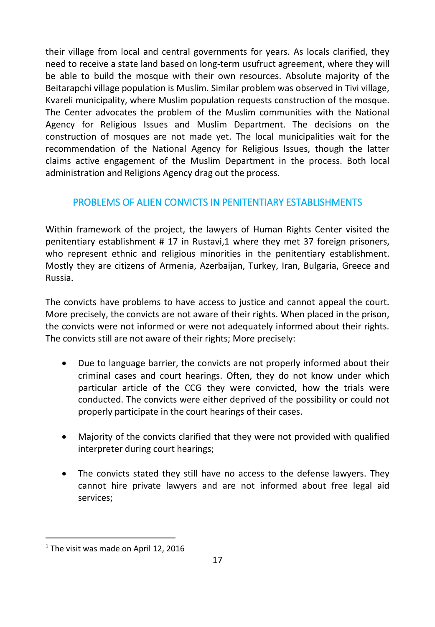their village from local and central governments for years. As locals clarified, they need to receive a state land based on long-term usufruct agreement, where they will be able to build the mosque with their own resources. Absolute majority of the Beitarapchi village population is Muslim. Similar problem was observed in Tivi village, Kvareli municipality, where Muslim population requests construction of the mosque. The Center advocates the problem of the Muslim communities with the National Agency for Religious Issues and Muslim Department. The decisions on the construction of mosques are not made yet. The local municipalities wait for the recommendation of the National Agency for Religious Issues, though the latter claims active engagement of the Muslim Department in the process. Both local administration and Religions Agency drag out the process.

## <span id="page-16-0"></span>PROBLEMS OF ALIEN CONVICTS IN PENITENTIARY ESTABLISHMENTS

Within framework of the project, the lawyers of Human Rights Center visited the penitentiary establishment # 17 in Rustavi,1 where they met 37 foreign prisoners, who represent ethnic and religious minorities in the penitentiary establishment. Mostly they are citizens of Armenia, Azerbaijan, Turkey, Iran, Bulgaria, Greece and Russia.

The convicts have problems to have access to justice and cannot appeal the court. More precisely, the convicts are not aware of their rights. When placed in the prison, the convicts were not informed or were not adequately informed about their rights. The convicts still are not aware of their rights; More precisely:

- Due to language barrier, the convicts are not properly informed about their criminal cases and court hearings. Often, they do not know under which particular article of the CCG they were convicted, how the trials were conducted. The convicts were either deprived of the possibility or could not properly participate in the court hearings of their cases.
- Majority of the convicts clarified that they were not provided with qualified interpreter during court hearings;
- The convicts stated they still have no access to the defense lawyers. They cannot hire private lawyers and are not informed about free legal aid services;

 $\ddot{\phantom{a}}$ 

<sup>&</sup>lt;sup>1</sup> The visit was made on April 12, 2016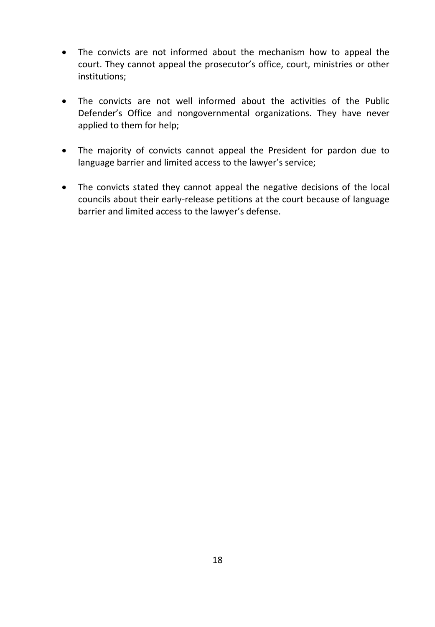- The convicts are not informed about the mechanism how to appeal the court. They cannot appeal the prosecutor's office, court, ministries or other institutions;
- The convicts are not well informed about the activities of the Public Defender's Office and nongovernmental organizations. They have never applied to them for help;
- The majority of convicts cannot appeal the President for pardon due to language barrier and limited access to the lawyer's service;
- The convicts stated they cannot appeal the negative decisions of the local councils about their early-release petitions at the court because of language barrier and limited access to the lawyer's defense.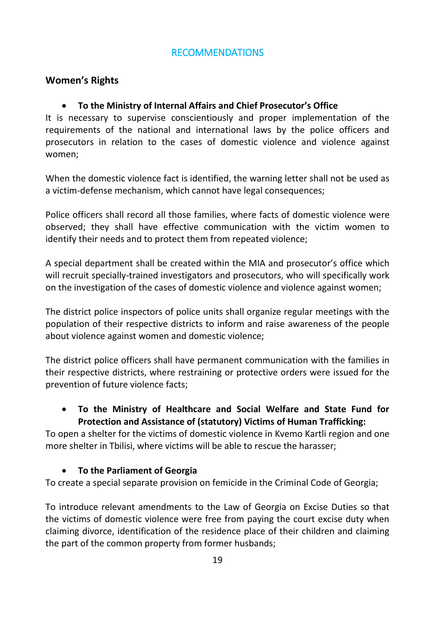## RECOMMENDATIONS

## <span id="page-18-0"></span>**Women's Rights**

#### **To the Ministry of Internal Affairs and Chief Prosecutor's Office**

It is necessary to supervise conscientiously and proper implementation of the requirements of the national and international laws by the police officers and prosecutors in relation to the cases of domestic violence and violence against women;

When the domestic violence fact is identified, the warning letter shall not be used as a victim-defense mechanism, which cannot have legal consequences;

Police officers shall record all those families, where facts of domestic violence were observed; they shall have effective communication with the victim women to identify their needs and to protect them from repeated violence;

A special department shall be created within the MIA and prosecutor's office which will recruit specially-trained investigators and prosecutors, who will specifically work on the investigation of the cases of domestic violence and violence against women;

The district police inspectors of police units shall organize regular meetings with the population of their respective districts to inform and raise awareness of the people about violence against women and domestic violence;

The district police officers shall have permanent communication with the families in their respective districts, where restraining or protective orders were issued for the prevention of future violence facts;

 **To the Ministry of Healthcare and Social Welfare and State Fund for Protection and Assistance of (statutory) Victims of Human Trafficking:**

To open a shelter for the victims of domestic violence in Kvemo Kartli region and one more shelter in Tbilisi, where victims will be able to rescue the harasser;

#### **To the Parliament of Georgia**

To create a special separate provision on femicide in the Criminal Code of Georgia;

To introduce relevant amendments to the Law of Georgia on Excise Duties so that the victims of domestic violence were free from paying the court excise duty when claiming divorce, identification of the residence place of their children and claiming the part of the common property from former husbands;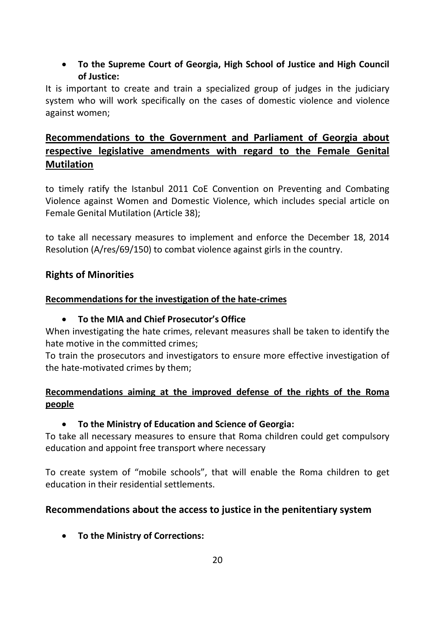## **To the Supreme Court of Georgia, High School of Justice and High Council of Justice:**

It is important to create and train a specialized group of judges in the judiciary system who will work specifically on the cases of domestic violence and violence against women;

## **Recommendations to the Government and Parliament of Georgia about respective legislative amendments with regard to the Female Genital Mutilation**

to timely ratify the Istanbul 2011 CoE Convention on Preventing and Combating Violence against Women and Domestic Violence, which includes special article on Female Genital Mutilation (Article 38);

to take all necessary measures to implement and enforce the December 18, 2014 Resolution (A/res/69/150) to combat violence against girls in the country.

## **Rights of Minorities**

#### **Recommendations for the investigation of the hate-crimes**

#### **To the MIA and Chief Prosecutor's Office**

When investigating the hate crimes, relevant measures shall be taken to identify the hate motive in the committed crimes;

To train the prosecutors and investigators to ensure more effective investigation of the hate-motivated crimes by them;

## **Recommendations aiming at the improved defense of the rights of the Roma people**

## **To the Ministry of Education and Science of Georgia:**

To take all necessary measures to ensure that Roma children could get compulsory education and appoint free transport where necessary

To create system of "mobile schools", that will enable the Roma children to get education in their residential settlements.

## **Recommendations about the access to justice in the penitentiary system**

**To the Ministry of Corrections:**